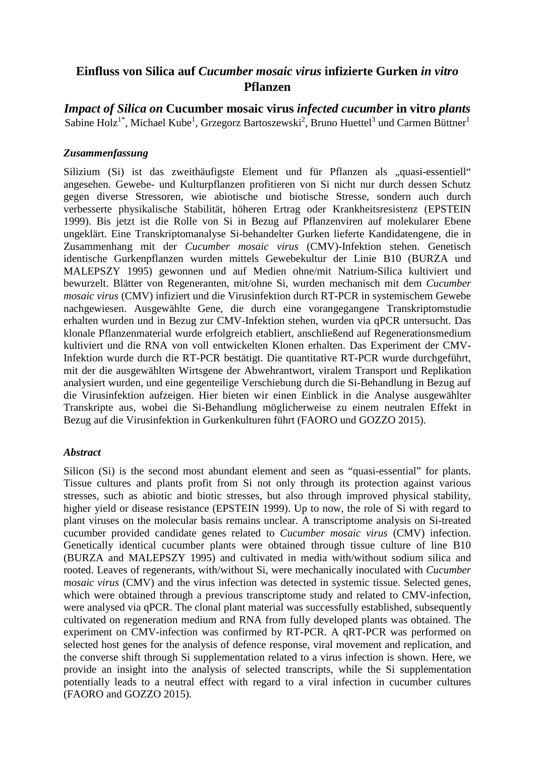# **Einfluss von Silica auf** *Cucumber mosaic virus* **infizierte Gurken** *in vitro* **Pflanzen**

*Impact of Silica on* **Cucumber mosaic virus** *infected cucumber* **in vitro** *plants*  Sabine Holz $^{1^*}$ , Michael Kube $^1$ , Grzegorz Bartoszewski $^2$ , Bruno Huettel $^3$  und Carmen Büttner $^1$ 

## *Zusammenfassung*

Silizium (Si) ist das zweithäufigste Element und für Pflanzen als "quasi-essentiell" angesehen. Gewebe- und Kulturpflanzen profitieren von Si nicht nur durch dessen Schutz gegen diverse Stressoren, wie abiotische und biotische Stresse, sondern auch durch verbesserte physikalische Stabilität, höheren Ertrag oder Krankheitsresistenz (EPSTEIN 1999). Bis jetzt ist die Rolle von Si in Bezug auf Pflanzenviren auf molekularer Ebene ungeklärt. Eine Transkriptomanalyse Si-behandelter Gurken lieferte Kandidatengene, die in Zusammenhang mit der *Cucumber mosaic virus* (CMV)-Infektion stehen. Genetisch identische Gurkenpflanzen wurden mittels Gewebekultur der Linie B10 (BURZA und MALEPSZY 1995) gewonnen und auf Medien ohne/mit Natrium-Silica kultiviert und bewurzelt. Blätter von Regeneranten, mit/ohne Si, wurden mechanisch mit dem *Cucumber mosaic virus* (CMV) infiziert und die Virusinfektion durch RT-PCR in systemischem Gewebe nachgewiesen. Ausgewählte Gene, die durch eine vorangegangene Transkriptomstudie erhalten wurden und in Bezug zur CMV-Infektion stehen, wurden via qPCR untersucht. Das klonale Pflanzenmaterial wurde erfolgreich etabliert, anschließend auf Regenerationsmedium kultiviert und die RNA von voll entwickelten Klonen erhalten. Das Experiment der CMV-Infektion wurde durch die RT-PCR bestätigt. Die quantitative RT-PCR wurde durchgeführt, mit der die ausgewählten Wirtsgene der Abwehrantwort, viralem Transport und Replikation analysiert wurden, und eine gegenteilige Verschiebung durch die Si-Behandlung in Bezug auf die Virusinfektion aufzeigen. Hier bieten wir einen Einblick in die Analyse ausgewählter Transkripte aus, wobei die Si-Behandlung möglicherweise zu einem neutralen Effekt in Bezug auf die Virusinfektion in Gurkenkulturen führt (FAORO und GOZZO 2015).

#### *Abstract*

Silicon (Si) is the second most abundant element and seen as "quasi-essential" for plants. Tissue cultures and plants profit from Si not only through its protection against various stresses, such as abiotic and biotic stresses, but also through improved physical stability, higher yield or disease resistance (EPSTEIN 1999). Up to now, the role of Si with regard to plant viruses on the molecular basis remains unclear. A transcriptome analysis on Si-treated cucumber provided candidate genes related to *Cucumber mosaic virus* (CMV) infection. Genetically identical cucumber plants were obtained through tissue culture of line B10 (BURZA and MALEPSZY 1995) and cultivated in media with/without sodium silica and rooted. Leaves of regenerants, with/without Si, were mechanically inoculated with *Cucumber mosaic virus* (CMV) and the virus infection was detected in systemic tissue. Selected genes, which were obtained through a previous transcriptome study and related to CMV-infection, were analysed via qPCR. The clonal plant material was successfully established, subsequently cultivated on regeneration medium and RNA from fully developed plants was obtained. The experiment on CMV-infection was confirmed by RT-PCR. A qRT-PCR was performed on selected host genes for the analysis of defence response, viral movement and replication, and the converse shift through Si supplementation related to a virus infection is shown. Here, we provide an insight into the analysis of selected transcripts, while the Si supplementation potentially leads to a neutral effect with regard to a viral infection in cucumber cultures (FAORO and GOZZO 2015).